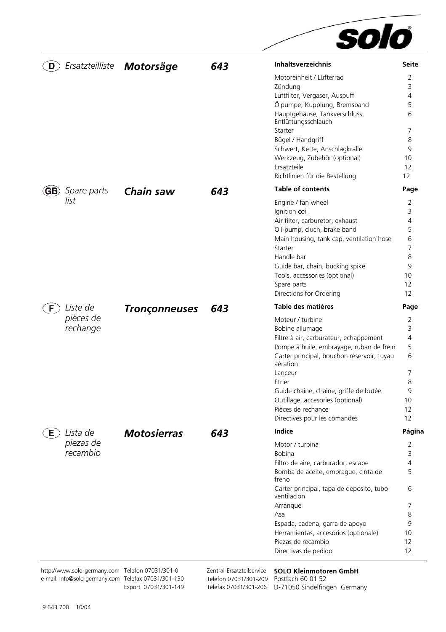|                                                 |                      |                           | solo                                                       |                |
|-------------------------------------------------|----------------------|---------------------------|------------------------------------------------------------|----------------|
| Ersatzteilliste<br>D                            | Motorsäge            | 643                       | <b>Inhaltsverzeichnis</b>                                  | <b>Seite</b>   |
|                                                 |                      |                           | Motoreinheit / Lüfterrad                                   | 2              |
|                                                 |                      |                           | Zündung                                                    | 3              |
|                                                 |                      |                           | Luftfilter, Vergaser, Auspuff                              | 4              |
|                                                 |                      |                           | Ölpumpe, Kupplung, Bremsband                               | 5              |
|                                                 |                      |                           | Hauptgehäuse, Tankverschluss,<br>Entlüftungsschlauch       | 6              |
|                                                 |                      |                           | Starter                                                    | 7              |
|                                                 |                      |                           | Bügel / Handgriff                                          | 8              |
|                                                 |                      |                           | Schwert, Kette, Anschlagkralle                             | 9              |
|                                                 |                      |                           | Werkzeug, Zubehör (optional)                               | 10             |
|                                                 |                      |                           | Ersatzteile                                                | 12             |
|                                                 |                      |                           | Richtlinien für die Bestellung<br><b>Table of contents</b> | 12             |
| Spare parts<br>$\left($ GB $\right)$<br>list    | Chain saw            | 643                       | Engine / fan wheel                                         | Page<br>2      |
|                                                 |                      |                           | Ignition coil                                              | 3              |
|                                                 |                      |                           | Air filter, carburetor, exhaust                            | $\overline{4}$ |
|                                                 |                      |                           | Oil-pump, cluch, brake band                                | 5              |
|                                                 |                      |                           | Main housing, tank cap, ventilation hose                   | 6              |
|                                                 |                      |                           | Starter                                                    | 7              |
|                                                 |                      |                           | Handle bar                                                 | 8              |
|                                                 |                      |                           | Guide bar, chain, bucking spike                            | 9<br>10        |
|                                                 |                      |                           | Tools, accessories (optional)<br>Spare parts               | 12             |
|                                                 |                      |                           | Directions for Ordering                                    | 12             |
| Liste de<br>F.                                  | <b>Tronçonneuses</b> | 643                       | Table des matières                                         | Page           |
| pièces de                                       |                      |                           | Moteur / turbine                                           | 2              |
| rechange                                        |                      |                           | Bobine allumage                                            | 3              |
|                                                 |                      |                           | Filtre à air, carburateur, echappement                     | $\overline{4}$ |
|                                                 |                      |                           | Pompe à huile, embrayage, ruban de frein                   | 5              |
|                                                 |                      |                           | Carter principal, bouchon réservoir, tuyau<br>aération     | 6              |
|                                                 |                      |                           | Lanceur                                                    | 7              |
|                                                 |                      |                           | Etrier                                                     | 8              |
|                                                 |                      |                           | Guide chaîne, chaîne, griffe de butée                      | 9              |
|                                                 |                      |                           | Outillage, accesories (optional)                           | 10             |
|                                                 |                      |                           | Pièces de rechance                                         | 12             |
|                                                 |                      |                           | Directives pour les comandes<br><b>Indice</b>              | 12             |
| Lista de<br>$E$ )<br>piezas de                  | <b>Motosierras</b>   | 643                       | Motor / turbina                                            | Página<br>2    |
| recambio                                        |                      |                           | <b>Bobina</b>                                              | 3              |
|                                                 |                      |                           | Filtro de aire, carburador, escape                         | 4              |
|                                                 |                      |                           | Bomba de aceite, embrague, cinta de<br>freno               | 5              |
|                                                 |                      |                           | Carter principal, tapa de deposito, tubo<br>ventilacion    | 6              |
|                                                 |                      |                           | Arranque                                                   | 7              |
|                                                 |                      |                           | Asa                                                        | 8              |
|                                                 |                      |                           | Espada, cadena, garra de apoyo                             | 9              |
|                                                 |                      |                           | Herramientas, accesorios (optionale)                       | 10             |
|                                                 |                      |                           | Piezas de recambio<br>Directivas de pedido                 | 12<br>12       |
|                                                 |                      |                           |                                                            |                |
| http://www.solo-germany.com Telefon 07031/301-0 |                      | Zentral-Ersatzteilservice | <b>SOLO Kleinmotoren GmbH</b>                              |                |

e-mail: info@solo-germany.com Telefax 07031/301-130 Export 07031/301-149 Telefon 07031/301-209 Postfach 60 01 52

Telefax 07031/301-206 D-71050 Sindelfingen Germany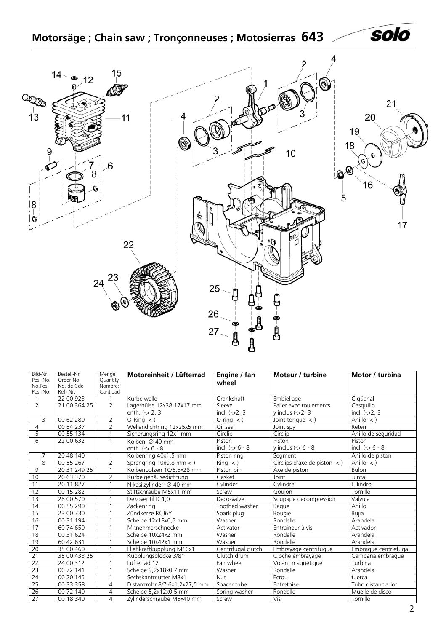# **Motorsäge ; Chain saw ; Tronçonneuses ; Motosierras 643**

<span id="page-1-0"></span>

| Bild-Nr.            | Bestell-Nr.             | Menge                      | Motoreinheit / Lüfterrad            | Engine / fan                 | Moteur / turbine                                       | Motor / turbina       |
|---------------------|-------------------------|----------------------------|-------------------------------------|------------------------------|--------------------------------------------------------|-----------------------|
| Pos.-No.<br>No.Pos. | Order-No.<br>No. de Cde | Quantity<br><b>Nombres</b> |                                     | wheel                        |                                                        |                       |
| Pos.-No.            | Ref.-Nr.                | Cantidad                   |                                     |                              |                                                        |                       |
|                     | 22 00 923               |                            | Kurbelwelle                         | Crankshaft                   | Embiellage                                             | Cigüenal              |
| 2                   | 21 00 364 25            | $\overline{2}$             | Lagerhülse 12x38,17x17 mm           | Sleeve                       | Palier avec roulements                                 | Casquillo             |
|                     |                         |                            | enth. $(-2, 3)$                     | incl. $(-2, 3)$              | $v$ inclus $(-2, 3)$                                   | incl. $(-2, 3)$       |
| 3                   | 00 62 280               | 2                          | $O-Rinq \leftarrow$                 | $O\text{-ring} < \text{-}$ ) | Joint torique $\left\langle -\right\rangle$            | Anillo $\leftarrow$ ) |
| $\overline{4}$      | 00 54 237               | $\overline{2}$             | Wellendichtring 12x25x5 mm          | Oil seal                     | Joint spy                                              | Reten                 |
| 5                   | 00 55 134               |                            | Sicherungsring 12x1 mm              | Circlip                      | Circlip                                                | Anillo de seguridad   |
| $\overline{6}$      | 22 00 632               | $\mathbf{1}$               | Kolben $\varnothing$ 40 mm          | Piston                       | Piston                                                 | Piston                |
|                     |                         |                            | enth. $(-56 - 8)$                   | incl. $(-56 - 8)$            | y inclus $(-56 - 8)$                                   | incl. $(-56 - 8)$     |
| $\overline{7}$      | 20 48 140               |                            | Kolbenring 40x1.5 mm                | Piston ring                  | Segment                                                | Anillo de piston      |
| 8                   | 00 55 267               | 2                          | Sprengring 10x0,8 mm <- )           | $\overline{Ring}$ <-)        | Circlips d'axe de piston $\left\langle -\right\rangle$ | Anillo $\leftarrow$   |
| 9                   | 20 31 249 25            | 1                          | Kolbenbolzen 10/6,5x28 mm           | Piston pin                   | Axe de piston                                          | <b>Bulon</b>          |
| 10                  | 20 63 370               | $\overline{2}$             | Kurbelgehäusedichtung               | Gasket                       | Joint                                                  | Junta                 |
| 11                  | 20 11 827               | $\mathbf{1}$               | Nikasilzvlinder $\varnothing$ 40 mm | Cylinder                     | Cylindre                                               | Cilindro              |
| 12                  | 00 15 282               | $\overline{1}$             | Stiftschraube M5x11 mm              | Screw                        | Goujon                                                 | Tornillo              |
| 13                  | 28 00 570               |                            | Dekoventil D 1.0                    | Deco-valve                   | Soupape decompression                                  | Valvula               |
| 14                  | 00 55 290               |                            | Zackenring                          | Toothed washer               | Bague                                                  | Anillo                |
| 15                  | 23 00 730               |                            | Zündkerze RCJ6Y                     | Spark plug                   | <b>Bougie</b>                                          | <b>Bujia</b>          |
| 16                  | 00 31 194               |                            | Scheibe 12x18x0,5 mm                | Washer                       | Rondelle                                               | Arandela              |
| 17                  | 60 74 650               |                            | Mitnehmerschnecke                   | Activator                    | Entraineur à vis                                       | Activador             |
| $\overline{18}$     | 00 31 624               | 1                          | Scheibe 10x24x2 mm                  | Washer                       | Rondelle                                               | Arandela              |
| 19                  | 60 42 631               | $\overline{1}$             | Scheibe 10x42x1 mm                  | Washer                       | Rondelle                                               | Arandela              |
| 20                  | 35 00 460               |                            | Fliehkraftkupplung M10x1            | Centrifugal clutch           | Embrayage centrifugue                                  | Embraque centriefugal |
| $\overline{21}$     | 35 00 433 25            |                            | Kupplungsglocke 3/8"                | Clutch drum                  | Cloche embrayage                                       | Campana embrague      |
| $\overline{22}$     | 24 00 312               | $\overline{1}$             | Lüfterrad 12                        | Fan wheel                    | Volant magnétique                                      | Turbina               |
| $\overline{23}$     | 00 72 141               |                            | Scheibe 9,2x18x0,7 mm               | Washer                       | Rondelle                                               | Arandela              |
| $\overline{24}$     | 00 20 145               |                            | Sechskantmutter M8x1                | <b>Nut</b>                   | Écrou                                                  | tuerca                |
| $\overline{25}$     | 00 33 358               | 4                          | Distanzrohr 8/7,6x1,2x27,5 mm       | Spacer tube                  | Entretoise                                             | Tubo distanciador     |
| 26                  | 00 72 140               | $\overline{4}$             | Scheibe 5,2x12x0,5 mm               | Spring washer                | Rondelle                                               | Muelle de disco       |
| 27                  | 00 18 340               | 4                          | Zylinderschraube M5x40 mm           | Screw                        | Vis                                                    | Tornillo              |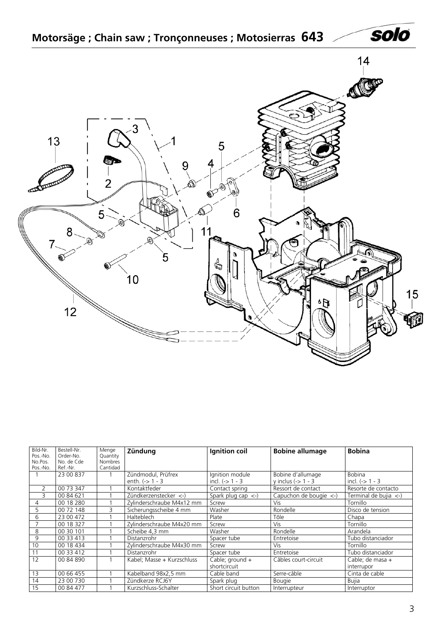<span id="page-2-0"></span>

| Bild-Nr.<br>Pos.-No. | Bestell-Nr.<br>Order-No. | Menge<br>Quantity | Zündung                    | Ignition coil                                | <b>Bobine allumage</b> | <b>Bobina</b>         |
|----------------------|--------------------------|-------------------|----------------------------|----------------------------------------------|------------------------|-----------------------|
| No.Pos.              | No. de Cde               | <b>Nombres</b>    |                            |                                              |                        |                       |
| Pos.-No.             | Ref.-Nr.                 | Cantidad          |                            |                                              |                        |                       |
|                      | 23 00 837                |                   | Zündmodul, Prüfrex         | Ignition module                              | Bobine d'allumage      | <b>Bobina</b>         |
|                      |                          |                   | enth. $(-) 1 - 3$          | incl. $(-5)$ 1 - 3                           | $y$ inclus (-> 1 - 3   | incl. $(-5)$ 1 - 3    |
| 2                    | 00 73 347                |                   | Kontaktfeder               | Contact spring                               | Ressort de contact     | Resorte de contacto   |
| 3                    | 00 84 621                |                   | Zündkerzenstecker <-)      | Spark plug cap $\left\langle -\right\rangle$ | Capuchon de bougie <-) | Terminal de bujia <-) |
| 4                    | 00 18 280                |                   | Zylinderschraube M4x12 mm  | Screw                                        | Vis                    | Tornillo              |
| 5                    | 00 72 148                | 3                 | Sicherungsscheibe 4 mm     | Washer                                       | Rondelle               | Disco de tension      |
| 6                    | 23 00 472                |                   | Halteblech                 | Plate                                        | Tôle                   | Chapa                 |
|                      | 00 18 327                |                   | Zylinderschraube M4x20 mm  | Screw                                        | Vis                    | Tornillo              |
| 8                    | 00 30 101                |                   | Scheibe 4.3 mm             | Washer                                       | Rondelle               | Arandela              |
| 9                    | 00 33 413                |                   | Distanzrohr                | Spacer tube                                  | Entretoise             | Tubo distanciador     |
| 10                   | 00 18 434                |                   | Zylinderschraube M4x30 mm  | Screw                                        | Vis                    | Tornillo              |
| 11                   | 00 33 412                |                   | Distanzrohr                | Spacer tube                                  | Entretoise             | Tubo distanciador     |
| 12                   | 00 84 890                |                   | Kabel; Masse + Kurzschluss | Cable; ground +                              | Câbles court-circuit   | Cable; de masa +      |
|                      |                          |                   |                            | shortcircuit                                 |                        | interrupor            |
| 13                   | 00 66 455                |                   | Kabelband 98x2,5 mm        | Cable band                                   | Serre-câble            | Cinta de cable        |
| 14                   | 23 00 730                |                   | Zündkerze RCJ6Y            | Spark plug                                   | <b>Bougie</b>          | Bujia                 |
| 15                   | 00 84 477                |                   | Kurzschluss-Schalter       | Short circuit button                         | Interrupteur           | Interruptor           |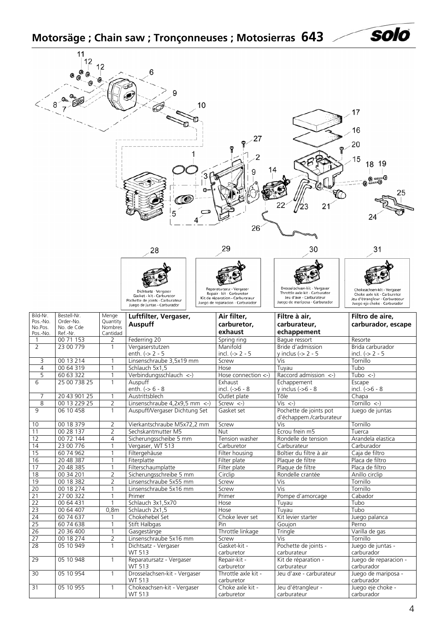<span id="page-3-0"></span>**Motorsäge ; Chain saw ; Tronçonneuses ; Motosierras 643**

|                                             | 11<br>12                                           |                                |                                                                                                                       | 10 | 27                                                                                                                           |                                                                                                                             | 17<br>16<br>20<br>15<br>18<br>19<br>O anno O                                                                                |
|---------------------------------------------|----------------------------------------------------|--------------------------------|-----------------------------------------------------------------------------------------------------------------------|----|------------------------------------------------------------------------------------------------------------------------------|-----------------------------------------------------------------------------------------------------------------------------|-----------------------------------------------------------------------------------------------------------------------------|
|                                             |                                                    |                                | 28                                                                                                                    |    | 26<br>29                                                                                                                     | 30                                                                                                                          | 25<br>24<br>31                                                                                                              |
|                                             |                                                    |                                | Dichtsatz - Vergaser<br>Gasket - kit - Carburetor<br>Pochette de joints - Carburateur<br>Juego de juntas - Carburador |    | Reparatursatz - Vergaser<br>Repair - kit - Carburetor<br>Kit de réparation - Carburateur<br>Juego de reparacion - Carburador | Drosselachsen-kit - Vergaser<br>Throttle axle kit - Carburator<br>Jeu d'axe - Carburateur<br>Juego de mariposa - Carburador | Chokeachsen-kit - Vergaser<br>Choke axle kit - Carburetor<br>Jeu d'étrangleur - Carburateur<br>Juego eje choke - Carburador |
| Bild-Nr.<br>Pos.-No.<br>No.Pos.<br>Pos.-No. | Bestell-Nr.<br>Order-No.<br>No. de Cde<br>Ref.-Nr. | Menge<br>Quantity<br>Nombres   | Luftfilter, Vergaser,<br>Auspuff                                                                                      |    | Air filter,<br>carburetor,                                                                                                   | Filtre à air,<br>carburateur,                                                                                               | Filtro de aire,<br>carburador, escape                                                                                       |
|                                             |                                                    |                                |                                                                                                                       |    |                                                                                                                              |                                                                                                                             |                                                                                                                             |
|                                             | 00 71 153                                          | Cantidad<br>2                  | Federring 20                                                                                                          |    | exhaust<br>Spring ring                                                                                                       | echappement<br>Baque ressort                                                                                                | Resorte                                                                                                                     |
| $\overline{2}$                              | 23 00 779                                          |                                | Vergaserstutzen                                                                                                       |    | Manifold                                                                                                                     | Bride d'admission                                                                                                           | Brida carburador                                                                                                            |
|                                             |                                                    |                                | enth. $(-2 - 5)$                                                                                                      |    | incl. $(-2 - 5)$                                                                                                             | y inclus $\left(\frac{1}{2}$ - 5                                                                                            | incl. $(-> 2 - 5$                                                                                                           |
| 3<br>$\overline{4}$                         | 00 13 214<br>00 64 319                             |                                | Linsenschraube 3,5x19 mm<br>Schlauch 5x1,5                                                                            |    | Screw<br>Hose                                                                                                                | Vis<br>Tuyau                                                                                                                | Tornillo<br>Tubo                                                                                                            |
| 5                                           | 60 63 322                                          |                                | Verbindungsschlauch <- )                                                                                              |    | Hose connection $\lt$ -)                                                                                                     | Raccord admission $\left\langle -\right\rangle$                                                                             | Tubo <-)                                                                                                                    |
| 6                                           | 25 00 738 25                                       |                                | Auspuff                                                                                                               |    | Exhaust                                                                                                                      | Echappement                                                                                                                 | Escape                                                                                                                      |
|                                             |                                                    |                                | enth. $(-) 6 - 8$                                                                                                     |    | incl. $(-56 - 8)$                                                                                                            | y inclus $(-56 - 8)$                                                                                                        | incl. $(-56 - 8)$                                                                                                           |
| 7<br>8                                      | 20 43 901 25<br>00 13 229 25                       | 1                              | Austrittsblech                                                                                                        |    | Outlet plate<br>Screw $\leftarrow$ )                                                                                         | Tôle<br>$Vis < -$ )                                                                                                         | $\overline{Chapa}$<br>Tornillo $\left\langle -\right\rangle$                                                                |
| 9                                           | 06 10 458                                          | $\overline{2}$<br>$\mathbf{1}$ | Linsenschraube 4,2x9,5 mm <- )<br>Auspuff/Vergaser Dichtung Set                                                       |    | Gasket set                                                                                                                   | Pochette de joints pot                                                                                                      | Juego de juntas                                                                                                             |
|                                             |                                                    |                                |                                                                                                                       |    |                                                                                                                              | d'échappem./carburateur                                                                                                     |                                                                                                                             |
| 10                                          | 00 18 379                                          | 2                              | Vierkantschraube M5x72,2 mm                                                                                           |    | Screw                                                                                                                        | Vis                                                                                                                         | Tornillo                                                                                                                    |
| 11                                          | 00 28 137                                          | $\overline{2}$                 | Sechskantmutter M5                                                                                                    |    | <b>Nut</b>                                                                                                                   | Écrou frein m5                                                                                                              | Tuerca                                                                                                                      |
| 12<br>14                                    | 00 72 144<br>23 00 776                             | 4<br>1                         | Sicherungsscheibe 5 mm<br>Vergaser, WT 513                                                                            |    | Tension washer<br>Carburetor                                                                                                 | Rondelle de tension<br>Carburateur                                                                                          | Arandela elastica<br>Carburador                                                                                             |
| 15                                          | 60 74 962                                          | 1                              | Filtergehäuse                                                                                                         |    | Filter housing                                                                                                               | Boîtier du filtre à air                                                                                                     | Caja de filtro                                                                                                              |
| 16                                          | 20 48 387                                          |                                | Fiterplatte                                                                                                           |    | Filter plate                                                                                                                 | Plaque de filtre                                                                                                            | Placa de filtro                                                                                                             |
| 17                                          | 20 48 385                                          |                                | Filterschaumplatte                                                                                                    |    | Filter plate                                                                                                                 | Plaque de filtre                                                                                                            | Placa de filtro                                                                                                             |
| 18                                          | 00 34 201                                          | 2                              | Sicherungsschreibe 5 mm                                                                                               |    | Circlip                                                                                                                      | Rondelle crantée                                                                                                            | Anillo circlip<br>Tornillo                                                                                                  |
| 19                                          | 00 18 382<br>00 18 274                             | 2<br>1                         | Linsenschraube 5x55 mm<br>Linsenschraube 5x16 mm                                                                      |    | Screw<br>Screw                                                                                                               | Vis<br><b>Vis</b>                                                                                                           | Tornillo                                                                                                                    |
| $\overline{20}$<br>$\overline{21}$          | 27 00 322                                          | 1                              | Primer                                                                                                                |    | Primer                                                                                                                       | Pompe d'amorcage                                                                                                            | Cabador                                                                                                                     |
| $\overline{22}$                             | 00 64 431                                          |                                | Schlauch 3x1,5x70                                                                                                     |    | Hose                                                                                                                         | Tuyau                                                                                                                       | Tubo                                                                                                                        |
| $\overline{23}$                             | 00 64 407                                          | 0,8m                           | Schlauch 2x1,5                                                                                                        |    | Hose                                                                                                                         | Tuyau                                                                                                                       | Tubo                                                                                                                        |
| $\overline{24}$                             | 60 74 637                                          |                                | Chokehebel Set                                                                                                        |    | Choke lever set                                                                                                              | Kit levier starter                                                                                                          | Juego palanca                                                                                                               |
| 25                                          | 60 74 638                                          | 1<br>$\mathbf{1}$              | Stift Halbgas                                                                                                         |    | Pin                                                                                                                          | Goujon                                                                                                                      | Perno                                                                                                                       |
| 26<br>$\overline{27}$                       | 20 36 400<br>00 18 274                             | 2                              | Gasgestänge<br>Linsenschraube 5x16 mm                                                                                 |    | Throttle linkage<br>Screw                                                                                                    | Tringle<br>Vis                                                                                                              | Varilla de gas<br>Tornillo                                                                                                  |
| 28                                          | 05 10 949                                          | $\mathbf{1}$                   | Dichtsatz - Vergaser<br>WT 513                                                                                        |    | Gasket-kit -<br>carburetor                                                                                                   | Pochette de joints -<br>carburateur                                                                                         | Juego de juntas -<br>carburador                                                                                             |
| 29                                          | 05 10 948                                          | $\mathbf{1}$                   | Reparatursatz - Vergaser<br>WT 513                                                                                    |    | Repair-kit -<br>carburetor                                                                                                   | Kit de réparation -<br>carburateur                                                                                          | Juego de reparacion -<br>carburador                                                                                         |
| 30<br>31                                    | 05 10 954<br>05 10 955                             | $\mathbf{1}$<br>1              | Drosselachsen-kit - Vergaser<br>WT 513<br>Chokeachsen-kit - Vergaser                                                  |    | Throttle axle kit -<br>carburetor<br>Choke axle kit -                                                                        | Jeu d'axe - carburateur<br>Jeu d'étrangleur -                                                                               | Juego de mariposa -<br>carburador<br>Juego eje choke -                                                                      |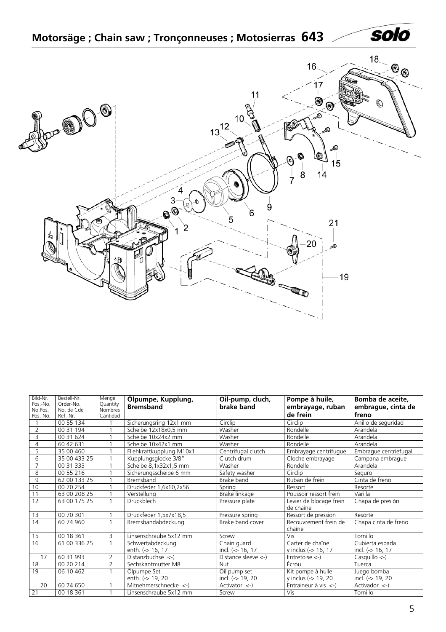<span id="page-4-0"></span>

| Bild-Nr.            | Bestell-Nr.             | Menge                      | Ölpumpe, Kupplung,                          | Oil-pump, cluch,                   | Pompe à huile,                          | Bomba de aceite,                        |
|---------------------|-------------------------|----------------------------|---------------------------------------------|------------------------------------|-----------------------------------------|-----------------------------------------|
| Pos.-No.<br>No.Pos. | Order-No.<br>No. de Cde | Quantity<br><b>Nombres</b> | <b>Bremsband</b>                            | brake band                         | embrayage, ruban                        | embrague, cinta de                      |
| Pos.-No.            | Ref.-Nr.                | Cantidad                   |                                             |                                    | de frein                                | freno                                   |
|                     | 00 55 134               |                            | Sicherungsring 12x1 mm                      | Circlip                            | Circlip                                 | Anillo de seguridad                     |
| $\overline{2}$      | 00 31 194               |                            | Scheibe 12x18x0,5 mm                        | Washer                             | Rondelle                                | Arandela                                |
| 3                   | 00 31 624               |                            | Scheibe 10x24x2 mm                          | Washer                             | Rondelle                                | Arandela                                |
| 4                   | 60 42 631               |                            | Scheibe 10x42x1 mm                          | Washer                             | Rondelle                                | Arandela                                |
| 5                   | 35 00 460               |                            | Fliehkraftkupplung M10x1                    | Centrifugal clutch                 | Embrayage centrifugue                   | Embrague centriefugal                   |
| 6                   | 35 00 433 25            |                            | Kupplungsglocke 3/8"                        | Clutch drum                        | Cloche embrayage                        | Campana embrague                        |
| $\overline{7}$      | 00 31 333               |                            | Scheibe 8,1x32x1,5 mm                       | Washer                             | Rondelle                                | Arandela                                |
| 8                   | 00 55 216               |                            | Sicherungsscheibe 6 mm                      | Safety washer                      | Circlip                                 | Seguro                                  |
| 9                   | 62 00 133 25            |                            | Bremsband                                   | Brake band                         | Ruban de frein                          | Cinta de freno                          |
| 10                  | 00 70 254               |                            | Druckfeder 1,6x10,2x56                      | Spring                             | Ressort                                 | Resorte                                 |
| 11                  | 63 00 208 25            |                            | Verstellung                                 | Brake linkage                      | Poussoir ressort frein                  | Varilla                                 |
| 12                  | 63 00 175 25            |                            | <b>Druckblech</b>                           | Pressure plate                     | Levier de blocage frein<br>de chaîne    | Chapa de presión                        |
| 13                  | 00 70 301               |                            | Druckfeder 1,5x7x18,5                       | Pressure spring                    | Ressort de pression                     | Resorte                                 |
| 14                  | 60 74 960               | $\mathbf{1}$               | Bremsbandabdeckung                          | Brake band cover                   | Recouvrement frein de<br>chaîne         | Chapa cinta de freno                    |
| 15                  | 00 18 361               | 3                          | Linsenschraube 5x12 mm                      | Screw                              | <b>Vis</b>                              | Tornillo                                |
| $\overline{16}$     | 61 00 336 25            | $\mathbf{1}$               | Schwertabdeckung<br>enth. (-> 16, 17        | Chain guard<br>incl. $(-5.16, 17)$ | Carter de chaîne<br>y inclus (-> 16, 17 | Cubierta espada<br>incl. (-> 16, 17     |
| 17                  | 60 31 993               | $\overline{2}$             | Distanzbuchse $\left\langle -\right\rangle$ | Distance sleeve <-)                | $\overline{\text{Entretoise}}$ <-)      | $Casquillo <$ -)                        |
| 18                  | 00 20 214               | $\overline{2}$             | Sechskantmutter M8                          | <b>Nut</b>                         | Écrou                                   | Tuerca                                  |
| 19                  | 06 10 462               |                            | Ölpumpe Set                                 | Oil pump set                       | Kit pompe à hulle                       | Juego bomba                             |
|                     |                         |                            | enth. (-> 19, 20                            | incl. (-> 19, 20                   | y inclus (-> 19, 20                     | incl. (-> 19, 20                        |
| 20                  | 60 74 650               |                            | Mitnehmerschnecke <-)                       | Activator $\leftarrow$ )           | Entraineur à vis $\langle$ -)           | Activador $\left\langle -\right\rangle$ |
| 21                  | 00 18 361               |                            | Linsenschraube 5x12 mm                      | Screw                              | Vis                                     | Tornillo                                |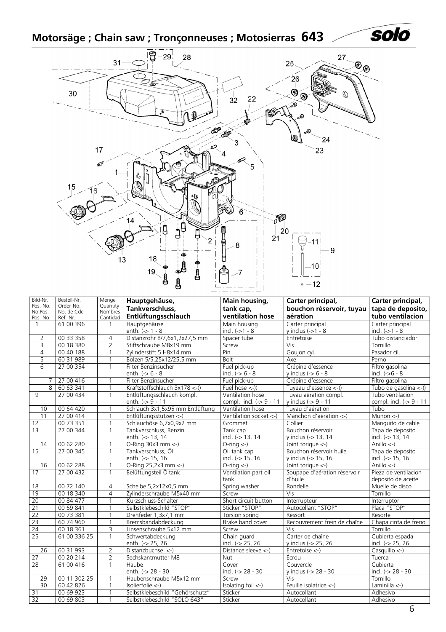# <span id="page-5-0"></span>**Motorsäge ; Chain saw ; Tronçonneuses ; Motosierras 643**



| Bild-Nr.            | Bestell-Nr.             | Menge                      | Hauptgehäuse,                   | Main housing,                             | Carter principal,                           | Carter principal,                    |  |
|---------------------|-------------------------|----------------------------|---------------------------------|-------------------------------------------|---------------------------------------------|--------------------------------------|--|
| Pos.-No.<br>No.Pos. | Order-No.<br>No. de Cde | Quantity<br><b>Nombres</b> | Tankverschluss,                 | tank cap,                                 | bouchon réservoir, tuyau                    | tapa de deposito,                    |  |
| Pos.-No.            | Ref.-Nr.                | Cantidad                   | Entlüftungsschlauch             | ventilation hose                          | aération                                    | tubo ventilacion                     |  |
| $\mathbf{1}$        | 61 00 396               | $\mathbf{1}$               | Hauptgehäuse                    | Main housing                              | Carter principal                            | Carter principal                     |  |
|                     |                         |                            | enth. $(-) 1 - 8$               | incl. $(->1 - 8)$                         | y inclus $(-1 - 8)$                         | incl. $(->1 - 8$                     |  |
| $\overline{2}$      | 00 33 358               | 4                          | Distanzrohr 8/7,6x1,2x27,5 mm   | Spacer tube                               | Entretoise                                  | Tubo distanciador                    |  |
| 3                   | 00 18 380               | $\overline{2}$             | Stiftschraube M8x19 mm          | Screw                                     | Vis                                         | Tornillo                             |  |
| $\overline{4}$      | 00 40 188               | 1                          | Zylinderstift 5 H8x14 mm        | Pin                                       | Goujon cyl.                                 | Pasador cil.                         |  |
| 5                   | 60 31 989               | $\mathbf{1}$               | Bolzen 5/5,25x12/25,5 mm        | <b>Bolt</b>                               | Axe                                         | Perno                                |  |
| $\overline{6}$      | 27 00 354               | $\mathbf{1}$               | Filter Benzinsucher             | Fuel pick-up                              | Crépine d'essence                           | Filtro gasolina                      |  |
|                     |                         |                            | enth. $(-56 - 8)$               | incl. $(-56 - 8)$                         | y inclus ( $> 6 - 8$                        | incl. $(-56 - 8)$                    |  |
| 7                   | 27 00 416               | $\mathbf{1}$               | Filter Benzinsucher             | Fuel pick-up                              | Crépine d'essence                           | Filtro gasolina                      |  |
| 8                   | 60 63 341               | $\mathbf{1}$               | Kraftstoffschlauch 3x178 <- ))  | Fuel hose $\left\langle -\right\rangle$ ) | Tuyeau d'essence $\langle - \rangle$ )      | Tubo de gasolina $\langle - \rangle$ |  |
| 9                   | 27 00 434               | $\mathbf{1}$               | Entlüftungsschlauch kompl.      | Ventilation hose                          | Tuyau aération compl.                       | Tubo ventilacion                     |  |
|                     |                         |                            | enth. (-> 9 - 11                | compl. incl. $(-59 - 11)$                 | y inclus (-> 9 - 11                         | compl. incl. (-> 9 - 11              |  |
| 10                  | 00 64 420               | 1                          | Schlauch 3x1,5x95 mm Entlüftung | Ventilation hose                          | Tuvau d'aération                            | Tubo                                 |  |
| 11                  | 27 00 414               | $\mathbf{1}$               | Entlüftungsstutzen <-)          | Ventilation socket <-)                    | Manchon d'aération <-)                      | Munon <                              |  |
| 12                  | 00 73 351               | $\mathbf{1}$               | Schlauchöse 6,7x0,9x2 mm        | Grommet                                   | Collier                                     | Manguito de cable                    |  |
| $\overline{13}$     | 27 00 344               | $\mathbf{1}$               | Tankverschluss, Benzin          | Tank cap                                  | Bouchon réservoir                           | Tapa de deposito                     |  |
|                     |                         |                            | enth. (-> 13, 14                | incl. (-> 13, 14                          | y inclus (-> 13, 14                         | incl. (-> 13, 14                     |  |
| 14                  | 00 62 280               | $\mathbf{1}$               | O-Ring $30x3$ mm $\leftarrow$ ) | $O\text{-ring} < \cdot$ )                 | Joint torique <-)                           | Anillo $\leftarrow$                  |  |
| 15                  | 27 00 345               | $\mathbf{1}$               | Tankverschluss, Öl              | Oil tank cap                              | Bouchon réservoir huile                     | Tapa de deposito                     |  |
|                     |                         |                            | enth. (-> 15, 16                | incl. (-> 15, 16                          | y inclus (-> 15, 16                         | incl. (-> 15, 16                     |  |
| 16                  | 00 62 288               | $\mathbf{1}$               | O-Ring 25,2x3 mm <- )           | $O\text{-ring} <$ -)                      | Joint torique $\left\langle -\right\rangle$ | Anillo $\leftarrow$                  |  |
| 17                  | 27 00 432               | $\overline{1}$             | Belüftungsteil Öltank           | Ventilation part oil                      | Soupape d'aération réservoir                | Pieza de ventilacion                 |  |
|                     |                         |                            |                                 | tank                                      | d'huile                                     | deposito de aceite                   |  |
| 18                  | 00 72 140               | $\overline{4}$             | Scheibe 5,2x12x0,5 mm           | Spring washer                             | Rondelle                                    | Muelle de disco                      |  |
| 19                  | 00 18 340               | $\overline{4}$             | Zylinderschraube M5x40 mm       | Screw                                     | $\overline{Vis}$                            | Tornillo                             |  |
| 20                  | 00 84 477               | 1                          | Kurzschluss-Schalter            | Short circuit button                      | Interrupteur                                | Interruptor                          |  |
| $\overline{21}$     | 00 69 841               | 1                          | Selbstklebeschild "STOP"        | Sticker "STOP"                            | Autocollant "STOP"                          | Placa "STOP"                         |  |
| 22                  | 00 73 381               |                            | Drehfeder 1,3x7,1 mm            | Torsion spring                            | Ressort                                     | Resorte                              |  |
| 23                  | 60 74 960               | $\mathbf{1}$               | Bremsbandabdeckung              | Brake band cover                          | Recouvrement frein de chaîne                | Chapa cinta de freno                 |  |
| 24                  | 00 18 361               | 3                          | Linsenschraube 5x12 mm          | Screw                                     | Vis                                         | Tornillo                             |  |
| 25                  | 61 00 336 25            | $\mathbf{1}$               | Schwertabdeckung                | Chain guard                               | Carter de chaîne                            | Cubierta espada                      |  |
|                     |                         |                            | enth. (-> 25, 26                | incl. (-> 25, 26                          | y inclus (-> 25, 26                         | incl. (-> 25, 26                     |  |
| 26                  | 60 31 993               | $\overline{2}$             | Distanzbuchse <-)               | Distance sleeve <-)                       | Entretoise $\left\langle -\right\rangle$    | $Casquillo \leftarrow$               |  |
| 27                  | 00 20 214               | $\overline{2}$             | Sechskantmutter M8              | <b>Nut</b>                                | Écrou                                       | Tuerca                               |  |
| $\overline{28}$     | 61 00 416               | $\mathbf{1}$               | Haube                           | Cover                                     | Couvercle                                   | Cubierta                             |  |
|                     |                         |                            | enth. (-> 28 - 30               | incl. (-> 28 - 30                         | v inclus (-> 28 - 30                        | incl. (-> 28 - 30                    |  |
| 29                  | 00 11 302 25            | 1                          | Haubenschraube M5x12 mm         | Screw                                     | Vis                                         | Tornillo                             |  |
| 30                  | 60 42 826               | $\mathbf{1}$               | Isolierfolie <-)                | Isolating foil $\leftarrow$ )             | Feuille isolatrice <-)                      | Laminilla $\leftarrow$ )             |  |
| 31                  | 00 69 923               | $\mathbf{1}$               | Selbstklebeschild "Gehörschutz" | Sticker                                   | Autocollant                                 | Adhesivo                             |  |
| 32                  | 00 69 803               | $\mathbf{1}$               | Selbstklebeschild "SOLO 643"    | Sticker                                   | Autocollant                                 | Adhesivo                             |  |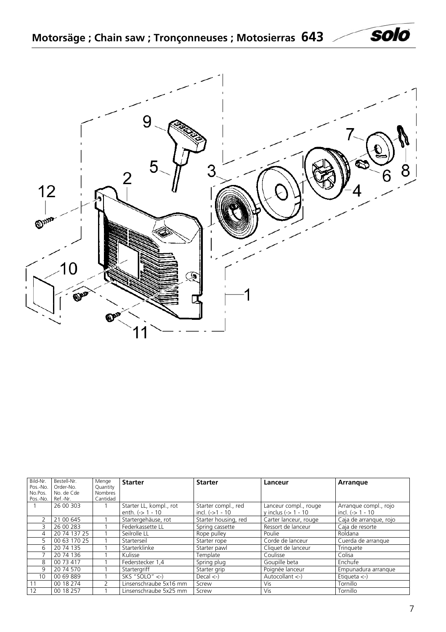<span id="page-6-0"></span>



| Bild-Nr.<br>Pos.-No. | Bestell-Nr.<br>Order-No. | Menge<br>Quantity | <b>Starter</b>            | <b>Starter</b>       | Lanceur                         | Arrangue                     |
|----------------------|--------------------------|-------------------|---------------------------|----------------------|---------------------------------|------------------------------|
| No.Pos.              | No. de Cde               | Nombres           |                           |                      |                                 |                              |
| Pos.-No.             | Ref.-Nr.<br>26 00 303    | Cantidad          | Starter LL, kompl., rot   | Starter compl., red  | Lanceur compl., rouge           | Arrangue compl., rojo        |
|                      |                          |                   | enth. $(-51 - 10)$        | incl. $(-51 - 10)$   | y inclus $(-5)$ 1 - 10          | incl. $(-5)$ 1 - 10          |
| 2                    | 21 00 645                |                   | Startergehäuse, rot       | Starter housing, red | Carter lanceur, rouge           | Caja de arranque, rojo       |
| 3                    | 26 00 283                |                   | Federkassette LL          | Spring cassette      | Ressort de lanceur              | Caja de resorte              |
| 4                    | 20 74 137 25             |                   | Seilrolle LL              | Rope pulley          | Poulie                          | Roldana                      |
| 5                    | 00 63 170 25             |                   | Starterseil               | Starter rope         | Corde de lanceur                | Cuerda de arranque           |
| 6                    | 20 74 135                |                   | Starterklinke             | Starter pawl         | Cliquet de lanceur              | Tringuete                    |
|                      | 20 74 136                |                   | Kulisse                   | Template             | Coulisse                        | Colisa                       |
| 8                    | 00 73 417                |                   | Federstecker 1,4          | Spring plug          | Goupille beta                   | Enchufe                      |
| 9                    | 20 74 570                |                   | Startergriff              | Starter grip         | Poignée lanceur                 | Empunadura arrangue          |
| 10                   | 00 69 889                |                   | SKS "SOLO" $\leftarrow$ ) | Decal <)             | Autocollant $\langle - \rangle$ | Etiqueta $\langle - \rangle$ |
| 11                   | 00 18 274                |                   | Linsenschraube 5x16 mm    | Screw                | Vis                             | Tornillo                     |
| 12                   | 00 18 257                |                   | Linsenschraube 5x25 mm    | Screw                | Vis                             | Tornillo                     |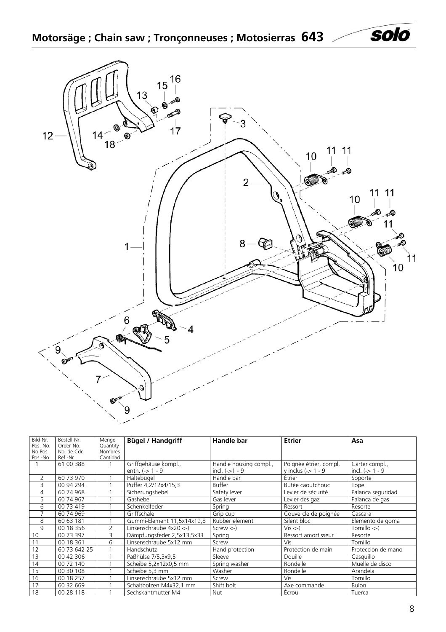**Motorsäge ; Chain saw ; Tronçonneuses ; Motosierras 643**

<span id="page-7-0"></span>

| Bild-Nr. | Bestell-Nr.  | Menge          | <b>Bügel / Handgriff</b>    | Handle bar             | <b>Etrier</b>          | Asa                |
|----------|--------------|----------------|-----------------------------|------------------------|------------------------|--------------------|
| Pos.-No. | Order-No.    | Quantity       |                             |                        |                        |                    |
| No.Pos.  | No. de Cde   | Nombres        |                             |                        |                        |                    |
| Pos.-No. | Ref.-Nr.     | Cantidad       |                             |                        |                        |                    |
|          | 61 00 388    |                | Griffgehäuse kompl.,        | Handle housing compl., | Poignée étrier, compl. | Carter compl.,     |
|          |              |                | enth. $(-) 1 - 9$           | incl. $(-51 - 9)$      | y inclus $(-5)$ 1 - 9  | incl. $(-5)$ 1 - 9 |
| 2        | 60 73 970    |                | Haltebügel                  | Handle bar             | Étrier                 | Soporte            |
| 3        | 00 94 294    |                | Puffer 4,2/12x4/15,3        | <b>Buffer</b>          | Butée caoutchouc       | Tope               |
| 4        | 60 74 968    |                | Sicherungshebel             | Safety lever           | Levier de sécurité     | Palanca seguridad  |
| 5        | 60 74 967    |                | Gashebel                    | Gas lever              | Levier des gaz         | Palanca de gas     |
| 6        | 00 73 419    |                | Schenkelfeder               | Spring                 | Ressort                | Resorte            |
|          | 60 74 969    |                | Griffschale                 | Grip cup               | Couvercle de poignée   | Cascara            |
| 8        | 60 63 181    |                | Gummi-Element 11,5x14x19,8  | Rubber element         | Silent bloc            | Elemento de goma   |
| 9        | 00 18 356    | $\overline{2}$ | Linsenschraube $4x20 < -$ ) | $Screw < -$            | $Vis < -$ )            | Tornillo $\lt$ -)  |
| 10       | 00 73 397    | 3              | Dämpfungsfeder 2,5x13,5x33  | Spring                 | Ressort amortisseur    | Resorte            |
| 11       | 00 18 361    | 6              | Linsenschraube 5x12 mm      | Screw                  | <b>Vis</b>             | Tornillo           |
| 12       | 60 73 642 25 |                | Handschutz                  | Hand protection        | Protection de main     | Proteccion de mano |
| 13       | 00 42 306    |                | Paßhülse 7/5,3x9,5          | Sleeve                 | Douille                | Casquillo          |
| 14       | 00 72 140    |                | Scheibe 5,2x12x0,5 mm       | Spring washer          | Rondelle               | Muelle de disco    |
| 15       | 00 30 108    |                | Scheibe 5,3 mm              | Washer                 | Rondelle               | Arandela           |
| 16       | 00 18 257    |                | Linsenschraube 5x12 mm      | Screw                  | Vis                    | Tornillo           |
| 17       | 60 32 669    |                | Schaltbolzen M4x32,1 mm     | Shift bolt             | Axe commande           | <b>Bulon</b>       |
| 18       | 00 28 118    |                | Sechskantmutter M4          | Nut                    | Écrou                  | Tuerca             |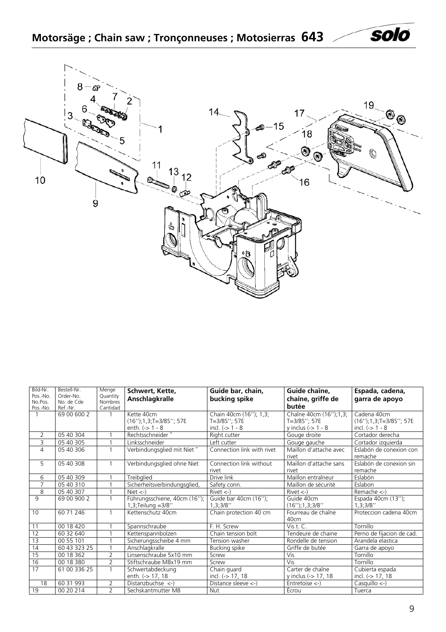<span id="page-8-0"></span>

| Bild-Nr.            | Bestell-Nr.             | Menge                      | Schwert, Kette,                                                  | Guide bar, chain,                                           | Guide chaîne,                                                    | Espada, cadena,                                                     |
|---------------------|-------------------------|----------------------------|------------------------------------------------------------------|-------------------------------------------------------------|------------------------------------------------------------------|---------------------------------------------------------------------|
| Pos.-No.<br>No.Pos. | Order-No.<br>No. de Cde | Quantity<br><b>Nombres</b> | Anschlagkralle                                                   | bucking spike                                               | chaîne, griffe de                                                | garra de apoyo                                                      |
| Pos.-No.            | Ref.-Nr.                | Cantidad                   |                                                                  |                                                             | butée                                                            |                                                                     |
|                     | 69 00 600 2             |                            | Kette 40cm<br>$(16'')$ ; 1, 3; T=3/8S''; 57E<br>enth. $(->1 - 8$ | Chain 40cm (16"); 1,3;<br>T=3/8S"; 57E<br>incl. $(-> 1 - 8$ | Chaîne 40cm (16"); 1,3;<br>T=3/8S": 57E<br>y inclus $(-5)$ 1 - 8 | Cadena 40cm<br>$(16'')$ ; 1, 3; T=3/8S''; 57E<br>incl. $(-5)$ 1 - 8 |
| 2                   | 05 40 304               |                            | Rechtsschneider"                                                 | Right cutter                                                | Gouge droite                                                     | Cortador derecha                                                    |
| 3                   | 05 40 305               |                            | Linksschneider                                                   | Left cutter                                                 | Gouge gauche                                                     | Cortador izquierda                                                  |
| 4                   | 05 40 306               |                            | Verbindungsglied mit Niet"                                       | Connection link with rivet                                  | Maillon d'attache avec<br>rivet                                  | Eslabón de conexion con<br>remache                                  |
| 5                   | 05 40 308               | 1                          | Verbindungsglied ohne Niet                                       | Connection link without<br>rivet                            | Maillon d'attache sans<br>rivet                                  | Eslabón de conexion sin<br>remache                                  |
| 6                   | 05 40 309               |                            | Treibglied                                                       | Drive link                                                  | Maillon entraîneur                                               | Eslabón                                                             |
| $\overline{7}$      | 05 40 310               |                            | Sicherheitsverbindungsglied,                                     | Safety conn.                                                | Maillon de sécurité                                              | Eslabon                                                             |
| 8                   | 05 40 307               | 1                          | Niet $\langle - \rangle$                                         | $Rivet < -$                                                 | $Rivet < -$                                                      | Remache $\left\langle -\right\rangle$                               |
| 9                   | 69 00 900 2             |                            | Führungsschiene, 40cm (16");<br>1,3;Teilung =3/8''               | Guide bar 40cm (16");<br>1,3;3/8"                           | Guide 40cm<br>$(16'')$ ; 1, 3; 3/8''                             | Espada 40cm (13");<br>1,3;3/8"                                      |
| 10                  | 60 71 246               |                            | Kettenschutz 40cm                                                | Chain protection 40 cm                                      | Fourreau de chaîne<br>40cm                                       | Proteccion cadena 40cm                                              |
| 11                  | 00 18 420               |                            | Spannschraube                                                    | F. H. Screw                                                 | Vis $t, C$ .                                                     | Tornillo                                                            |
| 12                  | 60 32 640               |                            | Kettenspannbolzen                                                | Chain tension bolt                                          | Tendeure de chaine                                               | Perno de fijacion de cad.                                           |
| 13                  | 00 55 101               |                            | Sicherungsscheibe 4 mm                                           | Tension washer                                              | Rondelle de tension                                              | Arandela elastica                                                   |
| 14                  | 60 43 323 25            |                            | Anschlagkralle                                                   | Bucking spike                                               | Griffe de butée                                                  | Garra de apoyo                                                      |
| 15                  | 00 18 362               | $\overline{2}$             | Linsenschraube 5x10 mm                                           | Screw                                                       | Vis                                                              | Tornillo                                                            |
| 16                  | 00 18 380               | $\overline{2}$             | Stiftschraube M8x19 mm                                           | Screw                                                       | Vis                                                              | Tornillo                                                            |
| 17                  | 61 00 336 25            | $\mathbf{1}$               | Schwertabdeckung<br>enth. (-> 17, 18                             | Chain guard<br>incl. (-> 17, 18                             | Carter de chaîne<br>y inclus (-> 17, 18                          | Cubierta espada<br>incl. (-> 17, 18                                 |
| 18                  | 60 31 993               | $\overline{2}$             | Distanzbuchse $\left\langle -\right\rangle$                      | Distance sleeve $\left\langle -\right\rangle$               | Entretoise $\left\langle -\right\rangle$                         | $Casquillo \leftarrow$                                              |
| 19                  | 00 20 214               | $\overline{2}$             | Sechskantmutter M8                                               | <b>Nut</b>                                                  | Écrou                                                            | Tuerca                                                              |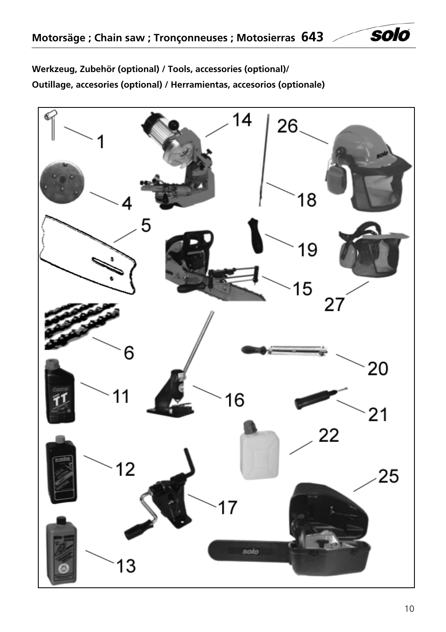<span id="page-9-0"></span>**Werkzeug, Zubehör (optional) / Tools, accessories (optional)/ Outillage, accesories (optional) / Herramientas, accesorios (optionale)** 

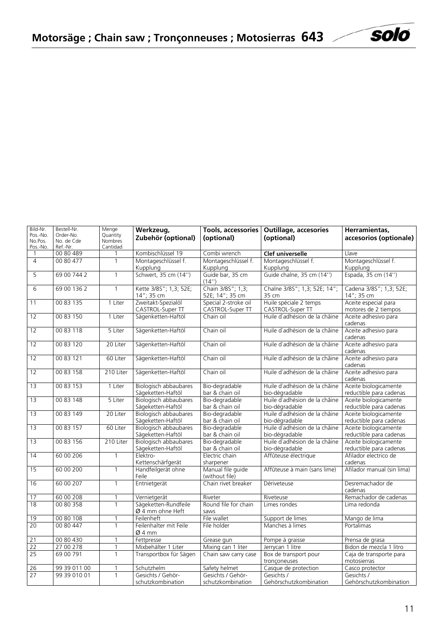| Bild-Nr.       | Bestell-Nr.  | Menge               | Werkzeug,<br>Tools, accessories            |                                          | <b>Outillage, accesories</b>                    | Herramientas,                                    |
|----------------|--------------|---------------------|--------------------------------------------|------------------------------------------|-------------------------------------------------|--------------------------------------------------|
| Pos.-No.       | Order-No.    | Quantity<br>Nombres | Zubehör (optional)                         | (optional)                               | (optional)                                      | accesorios (optionale)                           |
| No.Pos.        | No. de Cde   |                     |                                            |                                          |                                                 |                                                  |
| Pos.-No.       | Ref.-Nr.     | Cantidad            |                                            |                                          |                                                 |                                                  |
| $\mathbf{1}$   | 00 80 489    | 1                   | Kombischlüssel 19                          | Combi wrench                             | Clef universelle                                | Llave                                            |
| $\overline{4}$ | 00 80 477    | $\mathbf{1}$        | Montageschlüssel f.                        | Montageschlüssel f.                      | Montageschlüssel f.                             | Montageschlüssel f.                              |
|                |              |                     | Kupplung                                   | Kupplung                                 | Kupplung                                        | Kupplung                                         |
| 5              | 69 00 744 2  | $\mathbf{1}$        | Schwert, 35 cm (14")                       | Guide bar, 35 cm<br>(14")                | Guide chaîne, 35 cm (14")                       | Espada, 35 cm (14")                              |
| 6              | 69 00 136 2  | $\mathbf{1}$        | Kette 3/8S"; 1,3; 52E;<br>14"; 35 cm       | Chain 3/85"; 1,3;<br>52E; 14"; 35 cm     | Chaîne 3/8S"; 1,3; 52E; 14";<br>35 cm           | Cadena 3/8S"; 1,3; 52E;<br>14"; 35 cm            |
| 11             | 00 83 135    | 1 Liter             | Zweitakt-Spezialöl<br>CASTROL-Super TT     | Special 2-stroke oil<br>CASTROL-Super TT | Huile spéciale 2 temps<br>CASTROL-Super TT      | Aceite especial para<br>motores de 2 tiempos     |
| 12             | 00 83 150    | 1 Liter             | Sägenketten-Haftöl                         | Chain oil                                | Huile d'adhésion de la châine                   | Aceite adhesivo para<br>cadenas                  |
| 12             | 00 83 118    | 5 Liter             | Sägenketten-Haftöl                         | Chain oil                                | Huile d'adhésion de la châine                   | Aceite adhesivo para<br>cadenas                  |
| 12             | 00 83 120    | 20 Liter            | Sägenketten-Haftöl                         | Chain oil                                | Huile d'adhésion de la châine                   | Aceite adhesivo para<br>cadenas                  |
| 12             | 00 83 121    | 60 Liter            | Sägenketten-Haftöl                         | Chain oil                                | Huile d'adhésion de la châine                   | Aceite adhesivo para<br>cadenas                  |
| 12             | 00 83 158    | 210 Liter           | Sägenketten-Haftöl                         | Chain oil                                | Huile d'adhésion de la châine                   | Aceite adhesivo para<br>cadenas                  |
| 13             | 00 83 153    | 1 Liter             | Biologisch abbaubares<br>Sägeketten-Haftöl | Bio-degradable<br>bar & chain oil        | Huile d'adhésion de la châine<br>bio-dégradable | Aceite biologicamente<br>reductible para cadenas |
| 13             | 00 83 148    | 5 Liter             | Biologisch abbaubares                      | Bio-degradable                           | Huile d'adhésion de la châine                   | Aceite biologicamente                            |
|                |              | Sägeketten-Haftöl   |                                            | bar & chain oil                          | bio-dégradable                                  | reductible para cadenas                          |
| 13             | 00 83 149    | 20 Liter            | Biologisch abbaubares                      | Bio-degradable                           | Huile d'adhésion de la châine                   | Aceite biologicamente                            |
|                |              |                     | Sägeketten-Haftöl                          | bar & chain oil                          | bio-dégradable                                  | reductible para cadenas                          |
| 13             | 00 83 157    | 60 Liter            | Biologisch abbaubares                      | Bio-degradable                           | Huile d'adhésion de la châine                   | Aceite biologicamente                            |
|                |              |                     | Sägeketten-Haftöl                          | bar & chain oil                          | bio-dégradable                                  | reductible para cadenas                          |
| 13             | 00 83 156    | 210 Liter           | Biologisch abbaubares                      | Bio-degradable                           | Huile d'adhésion de la châine                   | Aceite biologicamente                            |
|                |              |                     | Sägeketten-Haftöl                          | bar & chain oil                          | bio-dégradable                                  | reductible para cadenas                          |
| 14             | 60 00 206    | $\mathbf{1}$        | Elektro-                                   | Electric chain                           | Affûteuse électrique                            | Afilador electrico de                            |
|                |              |                     | Kettenschärfgerät                          | sharpener                                |                                                 | cadenas                                          |
| 15             | 60 00 200    | $\mathbf{1}$        | Handfeilgerät ohne<br>Feile                | Manual file guide<br>(without file)      | Affûteuse à main (sans lime)                    | Afilador manual (sin lima)                       |
| 16             | 60 00 207    | $\mathbf{1}$        | Entnietgerät                               | Chain rivet breaker                      | Dériveteuse                                     | Desremachador de                                 |
|                |              |                     |                                            |                                          |                                                 | cadenas                                          |
| 17             | 60 00 208    | 1                   | Vernietgerät                               | Riveter                                  | Riveteuse                                       | Remachador de cadenas                            |
| 18             | 00 80 358    | 1                   | Sägeketten-Rundfeile<br>Ø 4 mm ohne Heft   | Round file for chain<br>saws             | Limes rondes                                    | Lima redonda                                     |
| 19             | 00 80 108    | 1                   | Feilenheft                                 | File wallet                              | Support de limes                                | Mango de lima                                    |
| 20             | 00 80 447    | $\mathbf{1}$        | Feilenhalter mit Feile<br>Ø 4 mm           | File holder                              | Manches à limes                                 | Portalimas                                       |
| 21             | 00 80 430    |                     | Fettpresse                                 | Grease gun                               | Pompe à graisse                                 | Prensa de grasa                                  |
| 22             | 27 00 278    |                     | Mixbehälter 1 Liter                        | Mixing can 1 liter                       | Jerrycan 1 litre                                | Bidon de mezcla 1 litro                          |
| 25             | 69 00 791    | $\mathbf{1}$        | Transportbox für Sägen                     | Chain saw carry case                     | Box de transport pour<br>tronconeuses           | Caja de transporte para<br>motosierras           |
| 26             | 99 39 011 00 |                     | Schutzhelm                                 | Safety helmet                            | Casque de protection                            | Casco protector                                  |
| 27             | 99 39 010 01 | 1                   | Gesichts / Gehör-                          | Gesichts / Gehör-                        | Gesichts /                                      | Gesichts /                                       |
|                |              |                     | schutzkombination                          | schutzkombination                        | Gehörschutzkombination                          | Gehörschutzkombination                           |